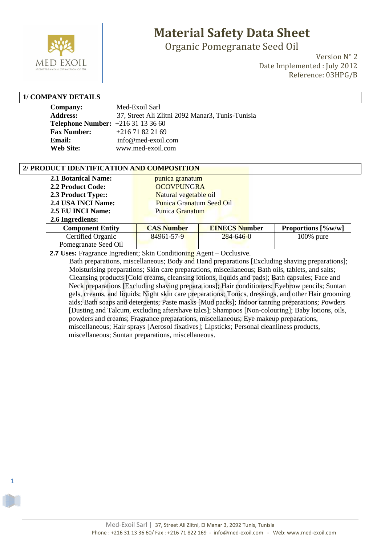

Organic Pomegranate Seed Oil

Version N° 2 Date Implemented : July 2012 Reference: 03HPG/B

### **1/ COMPANY DETAILS**

1

| Company:                                | Med-Exoil Sarl                                   |
|-----------------------------------------|--------------------------------------------------|
| <b>Address:</b>                         | 37, Street Ali Zlitni 2092 Manar3, Tunis-Tunisia |
| <b>Telephone Number:</b> $+21631133660$ |                                                  |
| <b>Fax Number:</b>                      | $+21671822169$                                   |
| Email:                                  | info@med-exoil.com                               |
| <b>Web Site:</b>                        | www.med-exoil.com                                |

#### **2/ PRODUCT IDENTIFICATION AND COMPOSITION**

| <b>2.1 Botanical Name:</b> |                                 |  |
|----------------------------|---------------------------------|--|
|                            | punica granatum                 |  |
| 2.2 Product Code:          | <b>OCOVPUNGRA</b>               |  |
| 2.3 Product Type::         | Natural vegetable oil           |  |
| 2.4 USA INCI Name:         | <b>Punica Granatum Seed Oil</b> |  |
| 2.5 EU INCI Name:          | <b>Punica Granatum</b>          |  |
| 2.6 Ingredients:           |                                 |  |

| <b>Component Entity</b> | <b>CAS Number</b> | <b>EINECS Number</b> | Proportions $\left[\frac{\%}{W}\right]$ |
|-------------------------|-------------------|----------------------|-----------------------------------------|
| Certified Organic       | 84961-57-9        | $284 - 646 - 0$      | $100\%$ pure                            |
| Pomegranate Seed Oil    |                   |                      |                                         |

 **2.7 Uses:** Fragrance Ingredient; Skin Conditioning Agent – Occlusive.

 Bath preparations, miscellaneous; Body and Hand preparations [Excluding shaving preparations]; Moisturising preparations; Skin care preparations, miscellaneous; Bath oils, tablets, and salts; Cleansing products [Cold creams, cleansing lotions, liquids and pads]; Bath capsules; Face and Neck preparations [Excluding shaving preparations]; Hair conditioners; Eyebrow pencils; Suntan gels, creams, and liquids; Night skin care preparations; Tonics, dressings, and other Hair grooming aids; Bath soaps and detergents; Paste masks [Mud packs]; Indoor tanning preparations; Powders [Dusting and Talcum, excluding aftershave talcs]; Shampoos [Non-colouring]; Baby lotions, oils, powders and creams; Fragrance preparations, miscellaneous; Eye makeup preparations, miscellaneous; Hair sprays [Aerosol fixatives]; Lipsticks; Personal cleanliness products, miscellaneous; Suntan preparations, miscellaneous.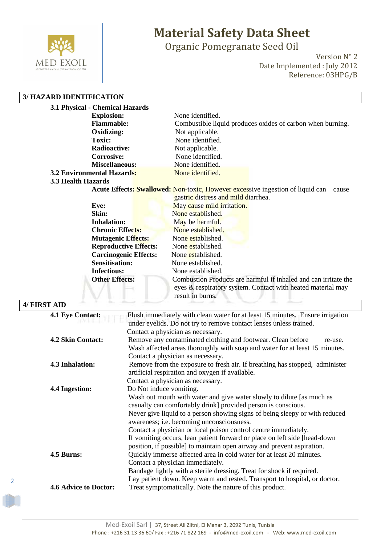

Organic Pomegranate Seed Oil

Version N° 2 Date Implemented : July 2012 Reference: 03HPG/B

### **3/ HAZARD IDENTIFICATION**

| 3.1 Physical - Chemical Hazards   |                                                                                                |
|-----------------------------------|------------------------------------------------------------------------------------------------|
| <b>Explosion:</b>                 | None identified.                                                                               |
| <b>Flammable:</b>                 | Combustible liquid produces oxides of carbon when burning.                                     |
| Oxidizing:                        | Not applicable.                                                                                |
| Toxic:                            | None identified                                                                                |
| <b>Radioactive:</b>               | Not applicable.                                                                                |
| <b>Corrosive:</b>                 | None identified.                                                                               |
| <b>Miscellaneous:</b>             | None identified.                                                                               |
| <b>3.2 Environmental Hazards:</b> | None identified.                                                                               |
| 3.3 Health Hazards                |                                                                                                |
|                                   | <b>Acute Effects: Swallowed: Non-toxic, However excessive ingestion of liquid can</b><br>cause |
|                                   | gastric distress and mild diarrhea.                                                            |
| Eye:                              | May cause mild irritation.                                                                     |
| Skin:                             | None established.                                                                              |
| <b>Inhalation:</b>                | May be harmful.                                                                                |
| <b>Chronic Effects:</b>           | None established.                                                                              |
| <b>Mutagenic Effects:</b>         | None established.                                                                              |
| <b>Reproductive Effects:</b>      | None established.                                                                              |
| <b>Carcinogenic Effects:</b>      | None established.                                                                              |
| <b>Sensitisation:</b>             | None established.                                                                              |
| <b>Infectious:</b>                | None established.                                                                              |
| <b>Other Effects:</b>             | Combustion Products are harmful if inhaled and can irritate the                                |
|                                   | eyes & respiratory system. Contact with heated material may                                    |
|                                   | result in burns.                                                                               |

### **4/ FIRST AID 4.1 Eye Contact:** Flush immediately with clean water for at least 15 minutes. Ensure irrigation under eyelids. Do not try to remove contact lenses unless trained. Contact a physician as necessary. **4.2 Skin Contact:** Remove any contaminated clothing and footwear. Clean before re-use. Wash affected areas thoroughly with soap and water for at least 15 minutes. Contact a physician as necessary. **4.3 Inhalation:** Remove from the exposure to fresh air. If breathing has stopped, administer artificial respiration and oxygen if available. Contact a physician as necessary. **4.4 Ingestion:** Do Not induce vomiting. Wash out mouth with water and give water slowly to dilute [as much as casualty can comfortably drink] provided person is conscious. Never give liquid to a person showing signs of being sleepy or with reduced awareness; i.e. becoming unconsciousness. Contact a physician or local poison control centre immediately. If vomiting occurs, lean patient forward or place on left side [head-down position, if possible] to maintain open airway and prevent aspiration. **4.5 Burns:** Quickly immerse affected area in cold water for at least 20 minutes. Contact a physician immediately. Bandage lightly with a sterile dressing. Treat for shock if required. Lay patient down. Keep warm and rested. Transport to hospital, or doctor. **4.6 Advice to Doctor:** Treat symptomatically. Note the nature of this product.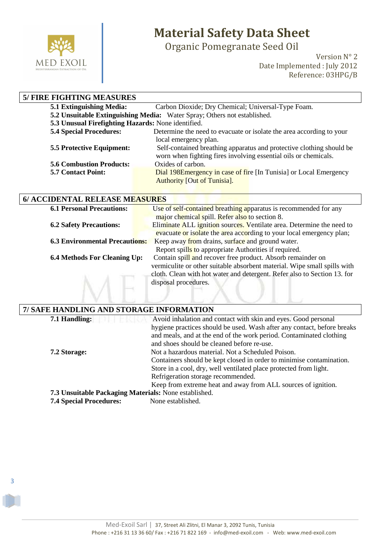

3

# **Material Safety Data Sheet**

Organic Pomegranate Seed Oil

Version N° 2 Date Implemented : July 2012 Reference: 03HPG/B

| <b>5/ FIRE FIGHTING MEASURES</b>                   |                                                                          |
|----------------------------------------------------|--------------------------------------------------------------------------|
| <b>5.1 Extinguishing Media:</b>                    | Carbon Dioxide; Dry Chemical; Universal-Type Foam.                       |
|                                                    | 5.2 Unsuitable Extinguishing Media: Water Spray; Others not established. |
| 5.3 Unusual Firefighting Hazards: None identified. |                                                                          |
| <b>5.4 Special Procedures:</b>                     | Determine the need to evacuate or isolate the area according to your     |
|                                                    | local emergency plan.                                                    |
| <b>5.5 Protective Equipment:</b>                   | Self-contained breathing apparatus and protective clothing should be     |
|                                                    | worn when fighting fires involving essential oils or chemicals.          |
| <b>5.6 Combustion Products:</b>                    | Oxides of carbon.                                                        |
| <b>5.7 Contact Point:</b>                          | Dial 198E mergency in case of fire [In Tunisia] or Local Emergency       |
|                                                    | <b>Authority [Out of Tunisia].</b>                                       |

| 6/ ACCIDENTAL RELEASE MEASURES |                               |
|--------------------------------|-------------------------------|
| 6.1 Dorsonal Dressutions       | $H_{\alpha\alpha}$ of solf or |

| <b>6.1 Personal Precautions:</b>      | Use of self-contained breathing apparatus is recommended for any                                                                                                                                                    |
|---------------------------------------|---------------------------------------------------------------------------------------------------------------------------------------------------------------------------------------------------------------------|
|                                       | major chemical spill. Refer also to section 8.                                                                                                                                                                      |
| <b>6.2 Safety Precautions:</b>        | Eliminate ALL ignition sources. Ventilate area. Determine the need to                                                                                                                                               |
|                                       | evacuate or isolate the area according to your local emergency plan;                                                                                                                                                |
| <b>6.3 Environmental Precautions:</b> | Keep away from drains, surface and ground water.                                                                                                                                                                    |
|                                       | Report spills to appropriate Authorities if required.                                                                                                                                                               |
| <b>6.4 Methods For Cleaning Up:</b>   | Contain spill and recover free product. Absorb remainder on<br>vermiculite or other suitable absorbent material. Wipe small spills with<br>cloth. Clean with hot water and detergent. Refer also to Section 13. for |
|                                       | disposal procedures.                                                                                                                                                                                                |

| 7/ SAFE HANDLING AND STORAGE INFORMATION              |                                                                         |  |
|-------------------------------------------------------|-------------------------------------------------------------------------|--|
| 7.1 Handling:                                         | Avoid inhalation and contact with skin and eyes. Good personal          |  |
|                                                       | hygiene practices should be used. Wash after any contact, before breaks |  |
|                                                       | and meals, and at the end of the work period. Contaminated clothing     |  |
|                                                       | and shoes should be cleaned before re-use.                              |  |
| 7.2 Storage:                                          | Not a hazardous material. Not a Scheduled Poison.                       |  |
|                                                       | Containers should be kept closed in order to minimise contamination.    |  |
|                                                       | Store in a cool, dry, well ventilated place protected from light.       |  |
|                                                       | Refrigeration storage recommended.                                      |  |
|                                                       | Keep from extreme heat and away from ALL sources of ignition.           |  |
| 7.3 Unsuitable Packaging Materials: None established. |                                                                         |  |
| <b>7.4 Special Procedures:</b>                        | None established.                                                       |  |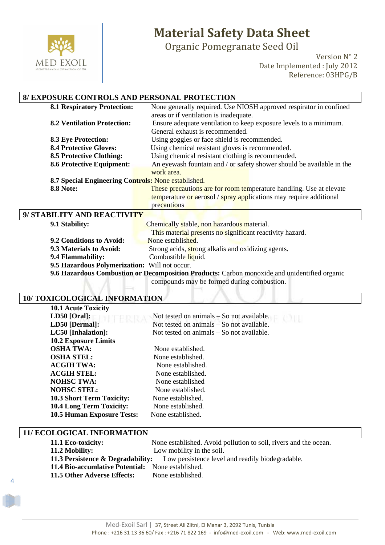

Organic Pomegranate Seed Oil

Version N° 2 Date Implemented : July 2012 Reference: 03HPG/B

### **8/ EXPOSURE CONTROLS AND PERSONAL PROTECTION**

| <b>8.1 Respiratory Protection:</b>                  | None generally required. Use NIOSH approved respirator in confined    |  |
|-----------------------------------------------------|-----------------------------------------------------------------------|--|
|                                                     | areas or if ventilation is inadequate.                                |  |
| <b>8.2 Ventilation Protection:</b>                  | Ensure adequate ventilation to keep exposure levels to a minimum.     |  |
|                                                     | General exhaust is recommended.                                       |  |
| <b>8.3 Eye Protection:</b>                          | Using goggles or face shield is recommended.                          |  |
| <b>8.4 Protective Gloves:</b>                       | Using chemical resistant gloves is recommended.                       |  |
| <b>8.5 Protective Clothing:</b>                     | Using chemical resistant clothing is recommended.                     |  |
| <b>8.6 Protective Equipment:</b>                    | An eyewash fountain and / or safety shower should be available in the |  |
|                                                     | work area.                                                            |  |
| 8.7 Special Engineering Controls: None established. |                                                                       |  |
| <b>8.8 Note:</b>                                    | These precautions are for room temperature handling. Use at elevate   |  |
|                                                     | temperature or aerosol / spray applications may require additional    |  |
|                                                     | precautions                                                           |  |
| 9/ STABILITY AND REACTIVITY                         |                                                                       |  |
|                                                     | $\sim$ $\sim$                                                         |  |

| 9.1 Stability:                                                                               | Chemically stable, non hazardous material.               |  |
|----------------------------------------------------------------------------------------------|----------------------------------------------------------|--|
|                                                                                              | This material presents no significant reactivity hazard. |  |
| 9.2 Conditions to Avoid:                                                                     | None established.                                        |  |
| 9.3 Materials to Avoid:                                                                      | Strong acids, strong alkalis and oxidizing agents.       |  |
| 9.4 Flammability:                                                                            | Combustible liquid.                                      |  |
| 9.5 Hazardous Polymerization: Will not occur.                                                |                                                          |  |
| 9.6 Hazardous Combustion or Decomposition Products: Carbon monoxide and unidentified organic |                                                          |  |

compounds may be formed during combustion.

### **10/ TOXICOLOGICAL INFORMATION**

| <b>10.1 Acute Toxicity</b>        |                                             |
|-----------------------------------|---------------------------------------------|
| $LD50$ [Oral]:                    | Not tested on animals $-$ So not available. |
| LD50 [Dermal]:                    | Not tested on animals – So not available.   |
| LC50 [Inhalation]:                | Not tested on animals – So not available.   |
| <b>10.2 Exposure Limits</b>       |                                             |
| <b>OSHA TWA:</b>                  | None established.                           |
| <b>OSHA STEL:</b>                 | None established.                           |
| <b>ACGIH TWA:</b>                 | None established.                           |
| <b>ACGIH STEL:</b>                | None established.                           |
| <b>NOHSC TWA:</b>                 | None established                            |
| <b>NOHSC STEL:</b>                | None established.                           |
| <b>10.3 Short Term Toxicity:</b>  | None established.                           |
| <b>10.4 Long Term Toxicity:</b>   | None established.                           |
| <b>10.5 Human Exposure Tests:</b> | None established.                           |

#### **11/ ECOLOGICAL INFORMATION**

4

| 11.1 Eco-toxicity:                                                                            | None established. Avoid pollution to soil, rivers and the ocean. |  |
|-----------------------------------------------------------------------------------------------|------------------------------------------------------------------|--|
| 11.2 Mobility:                                                                                | Low mobility in the soil.                                        |  |
| <b>11.3 Persistence &amp; Degradability:</b> Low persistence level and readily biodegradable. |                                                                  |  |
| 11.4 Bio-accumlative Potential: None established.                                             |                                                                  |  |
| 11.5 Other Adverse Effects:                                                                   | None established.                                                |  |
|                                                                                               |                                                                  |  |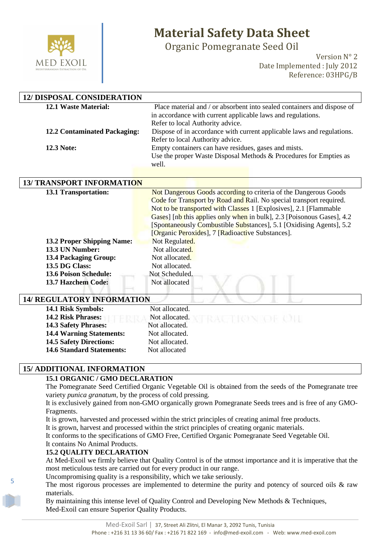

Organic Pomegranate Seed Oil

Version N° 2 Date Implemented : July 2012 Reference: 03HPG/B

| <b>12/ DISPOSAL CONSIDERATION</b>                    |                                                                                                                                                                                                                                                                                                                                                                                                                   |
|------------------------------------------------------|-------------------------------------------------------------------------------------------------------------------------------------------------------------------------------------------------------------------------------------------------------------------------------------------------------------------------------------------------------------------------------------------------------------------|
| 12.1 Waste Material:<br>12.2 Contaminated Packaging: | Place material and / or absorbent into sealed containers and dispose of<br>in accordance with current applicable laws and regulations.<br>Refer to local Authority advice.<br>Dispose of in accordance with current applicable laws and regulations.<br>Refer to local Authority advice.                                                                                                                          |
| <b>12.3 Note:</b>                                    | Empty containers can have residues, gases and mists.<br>Use the proper Waste Disposal Methods & Procedures for Empties as<br>well.                                                                                                                                                                                                                                                                                |
|                                                      |                                                                                                                                                                                                                                                                                                                                                                                                                   |
| <b>13/ TRANSPORT INFORMATION</b>                     |                                                                                                                                                                                                                                                                                                                                                                                                                   |
| <b>13.1 Transportation:</b>                          | Not Dangerous Goods according to criteria of the Dangerous Goods<br>Code for Transport by Road and Rail. No special transport required.<br>Not to be transported with Classes 1 [Explosives], 2.1 [Flammable<br>Gases] [nb this applies only when in bulk], 2.3 [Poisonous Gases], 4.2<br>[Spontaneously Combustible Substances], 5.1 [Oxidising Agents], 5.2<br>[Organic Peroxides], 7 [Radioactive Substances]. |
| <b>13.2 Proper Shipping Name:</b>                    | Not Regulated.                                                                                                                                                                                                                                                                                                                                                                                                    |
| 13.3 UN Number:                                      | Not allocated.                                                                                                                                                                                                                                                                                                                                                                                                    |
| <b>13.4 Packaging Group:</b>                         | Not allocated.                                                                                                                                                                                                                                                                                                                                                                                                    |
| 13.5 DG Class:                                       | Not allocated.                                                                                                                                                                                                                                                                                                                                                                                                    |
| <b>13.6 Poison Schedule:</b>                         | Not Scheduled.                                                                                                                                                                                                                                                                                                                                                                                                    |
| 13.7 Hazchem Code:                                   | Not allocated                                                                                                                                                                                                                                                                                                                                                                                                     |
| <b>14/ REGULATORY INFORMATION</b>                    |                                                                                                                                                                                                                                                                                                                                                                                                                   |
| 14.1 Risk Symbols:                                   | Not allocated.                                                                                                                                                                                                                                                                                                                                                                                                    |
| 14.2 Risk Phrases:<br>44 A A A A J TAI               | Not allocated.                                                                                                                                                                                                                                                                                                                                                                                                    |

**14.3 Safety Phrases:** Not allocated. 14.4 Warning Statements: Not allocated. **14.5 Safety Directions:** Not allocated. 14.6 Standard Statements: Not allocated

#### **15/ ADDITIONAL INFORMATION**

### **15.1 ORGANIC / GMO DECLARATION**

The Pomegranate Seed Certified Organic Vegetable Oil is obtained from the seeds of the Pomegranate tree variety *punica granatum*, by the process of cold pressing.

It is exclusively gained from non-GMO organically grown Pomegranate Seeds trees and is free of any GMO-Fragments.

It is grown, harvested and processed within the strict principles of creating animal free products.

It is grown, harvest and processed within the strict principles of creating organic materials.

It conforms to the specifications of GMO Free, Certified Organic Pomegranate Seed Vegetable Oil.

It contains No Animal Products.

5

### **15.2 QUALITY DECLARATION**

At Med-Exoil we firmly believe that Quality Control is of the utmost importance and it is imperative that the most meticulous tests are carried out for every product in our range.

Uncompromising quality is a responsibility, which we take seriously.

The most rigorous processes are implemented to determine the purity and potency of sourced oils & raw materials.

By maintaining this intense level of Quality Control and Developing New Methods & Techniques, Med-Exoil can ensure Superior Quality Products.